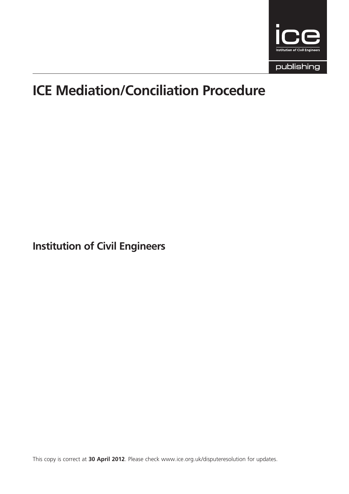

# ICE Mediation/Conciliation Procedure

Institution of Civil Engineers

This copy is correct at 30 April 2012. Please check www.ice.org.uk/disputeresolution for updates.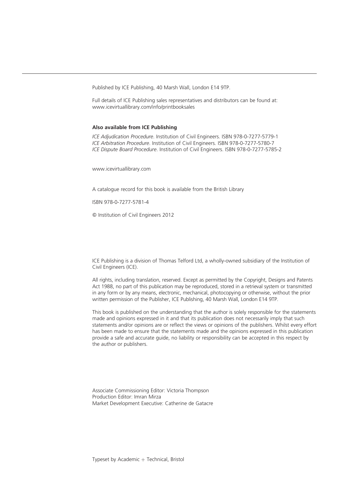Published by ICE Publishing, 40 Marsh Wall, London E14 9TP.

Full details of ICE Publishing sales representatives and distributors can be found at: www.icevirtuallibrary.com/info/printbooksales

#### Also available from ICE Publishing

ICE Adjudication Procedure. Institution of Civil Engineers. ISBN 978-0-7277-5779-1 ICE Arbitration Procedure. Institution of Civil Engineers. ISBN 978-0-7277-5780-7 ICE Dispute Board Procedure. Institution of Civil Engineers. ISBN 978-0-7277-5785-2

www.icevirtuallibrary.com

A catalogue record for this book is available from the British Library

ISBN 978-0-7277-5781-4

 $\circ$  Institution of Civil Engineers 2012

ICE Publishing is a division of Thomas Telford Ltd, a wholly-owned subsidiary of the Institution of Civil Engineers (ICE).

All rights, including translation, reserved. Except as permitted by the Copyright, Designs and Patents Act 1988, no part of this publication may be reproduced, stored in a retrieval system or transmitted in any form or by any means, electronic, mechanical, photocopying or otherwise, without the prior written permission of the Publisher, ICE Publishing, 40 Marsh Wall, London E14 9TP.

This book is published on the understanding that the author is solely responsible for the statements made and opinions expressed in it and that its publication does not necessarily imply that such statements and/or opinions are or reflect the views or opinions of the publishers. Whilst every effort has been made to ensure that the statements made and the opinions expressed in this publication provide a safe and accurate guide, no liability or responsibility can be accepted in this respect by the author or publishers.

Associate Commissioning Editor: Victoria Thompson Production Editor: Imran Mirza Market Development Executive: Catherine de Gatacre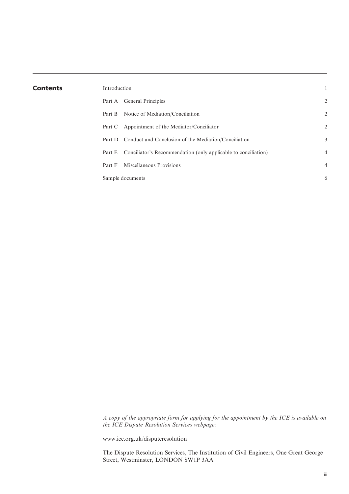| <b>Contents</b> | Introduction |                                                                |                |
|-----------------|--------------|----------------------------------------------------------------|----------------|
|                 |              | Part A General Principles                                      | 2              |
|                 | Part B       | Notice of Mediation/Conciliation                               | 2              |
|                 |              | Part C Appointment of the Mediator/Conciliator                 | 2              |
|                 |              | Part D Conduct and Conclusion of the Mediation/Conciliation    | 3              |
|                 | Part E       | Conciliator's Recommendation (only applicable to conciliation) | $\overline{4}$ |
|                 | Part F       | Miscellaneous Provisions                                       | $\overline{4}$ |
|                 |              | Sample documents                                               | 6              |
|                 |              |                                                                |                |

A copy of the appropriate form for applying for the appointment by the ICE is available on the ICE Dispute Resolution Services webpage:

www.ice.org.uk/disputeresolution

The Dispute Resolution Services, The Institution of Civil Engineers, One Great George Street, Westminster, LONDON SW1P 3AA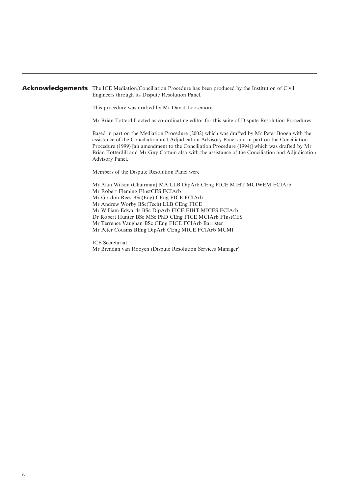#### Acknowledgements The ICE Mediation/Conciliation Procedure has been produced by the Institution of Civil Engineers through its Dispute Resolution Panel.

This procedure was drafted by Mr David Loosemore.

Mr Brian Totterdill acted as co-ordinating editor for this suite of Dispute Resolution Procedures.

Based in part on the Mediation Procedure (2002) which was drafted by Mr Peter Booen with the assistance of the Conciliation and Adjudication Advisory Panel and in part on the Conciliation Procedure (1999) [an amendment to the Conciliation Procedure (1994)] which was drafted by Mr Brian Totterdill and Mr Guy Cottam also with the assistance of the Conciliation and Adjudication Advisory Panel.

Members of the Dispute Resolution Panel were

Mr Alan Wilson (Chairman) MA LLB DipArb CEng FICE MIHT MCIWEM FCIArb Mr Robert Fleming FInstCES FCIArb Mr Gordon Rees BSc(Eng) CEng FICE FCIArb Mr Andrew Worby BSc(Tech) LLB CEng FICE Mr William Edwards BSc DipArb FICE FIHT MICES FCIArb Dr Robert Hunter BSc MSc PhD CEng FICE MCIArb FInstCES Mr Terrence Vaughan BSc CEng FICE FCIArb Barrister Mr Peter Cousins BEng DipArb CEng MICE FCIArb MCMI

ICE Secretariat Mr Brendan van Rooyen (Dispute Resolution Services Manager)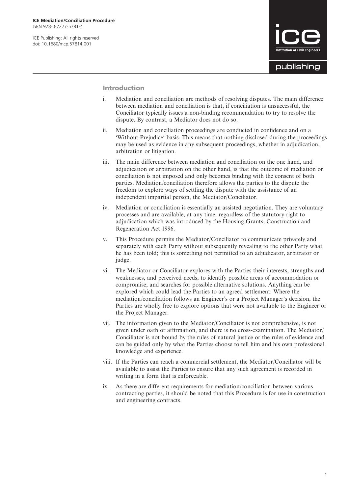ICE Publishing: All rights reserved doi: 10.1680/mcp.57814.001



Introduction

- i. Mediation and conciliation are methods of resolving disputes. The main difference between mediation and conciliation is that, if conciliation is unsuccessful, the Conciliator typically issues a non-binding recommendation to try to resolve the dispute. By contrast, a Mediator does not do so.
- ii. Mediation and conciliation proceedings are conducted in confidence and on a 'Without Prejudice' basis. This means that nothing disclosed during the proceedings may be used as evidence in any subsequent proceedings, whether in adjudication, arbitration or litigation.
- iii. The main difference between mediation and conciliation on the one hand, and adjudication or arbitration on the other hand, is that the outcome of mediation or conciliation is not imposed and only becomes binding with the consent of both parties. Mediation/conciliation therefore allows the parties to the dispute the freedom to explore ways of settling the dispute with the assistance of an independent impartial person, the Mediator/Conciliator.
- iv. Mediation or conciliation is essentially an assisted negotiation. They are voluntary processes and are available, at any time, regardless of the statutory right to adjudication which was introduced by the Housing Grants, Construction and Regeneration Act 1996.
- v. This Procedure permits the Mediator/Conciliator to communicate privately and separately with each Party without subsequently revealing to the other Party what he has been told; this is something not permitted to an adjudicator, arbitrator or judge.
- vi. The Mediator or Conciliator explores with the Parties their interests, strengths and weaknesses, and perceived needs; to identify possible areas of accommodation or compromise; and searches for possible alternative solutions. Anything can be explored which could lead the Parties to an agreed settlement. Where the mediation/conciliation follows an Engineer's or a Project Manager's decision, the Parties are wholly free to explore options that were not available to the Engineer or the Project Manager.
- vii. The information given to the Mediator/Conciliator is not comprehensive, is not given under oath or affirmation, and there is no cross-examination. The Mediator/ Conciliator is not bound by the rules of natural justice or the rules of evidence and can be guided only by what the Parties choose to tell him and his own professional knowledge and experience.
- viii. If the Parties can reach a commercial settlement, the Mediator/Conciliator will be available to assist the Parties to ensure that any such agreement is recorded in writing in a form that is enforceable.
- ix. As there are different requirements for mediation/conciliation between various contracting parties, it should be noted that this Procedure is for use in construction and engineering contracts.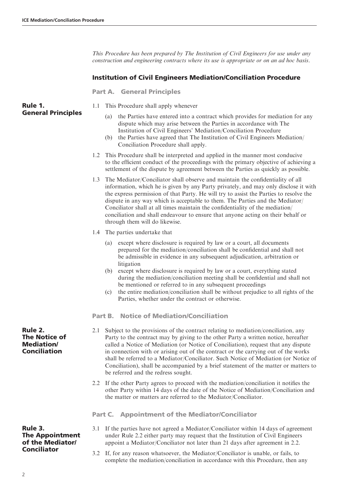This Procedure has been prepared by The Institution of Civil Engineers for use under any construction and engineering contracts where its use is appropriate or on an ad hoc basis.

### Institution of Civil Engineers Mediation/Conciliation Procedure

Part A. General Principles

Rule 1. General Principles

- 1.1 This Procedure shall apply whenever
	- (a) the Parties have entered into a contract which provides for mediation for any dispute which may arise between the Parties in accordance with The Institution of Civil Engineers' Mediation/Conciliation Procedure
	- (b) the Parties have agreed that The Institution of Civil Engineers Mediation/ Conciliation Procedure shall apply.
- 1.2 This Procedure shall be interpreted and applied in the manner most conducive to the efficient conduct of the proceedings with the primary objective of achieving a settlement of the dispute by agreement between the Parties as quickly as possible.
- 1.3 The Mediator/Conciliator shall observe and maintain the confidentiality of all information, which he is given by any Party privately, and may only disclose it with the express permission of that Party. He will try to assist the Parties to resolve the dispute in any way which is acceptable to them. The Parties and the Mediator/ Conciliator shall at all times maintain the confidentiality of the mediation/ conciliation and shall endeavour to ensure that anyone acting on their behalf or through them will do likewise.
- 1.4 The parties undertake that
	- (a) except where disclosure is required by law or a court, all documents prepared for the mediation/conciliation shall be confidential and shall not be admissible in evidence in any subsequent adjudication, arbitration or litigation
	- (b) except where disclosure is required by law or a court, everything stated during the mediation/conciliation meeting shall be confidential and shall not be mentioned or referred to in any subsequent proceedings
	- (c) the entire mediation/conciliation shall be without prejudice to all rights of the Parties, whether under the contract or otherwise.

#### Part B. Notice of Mediation/Conciliation

- 2.1 Subject to the provisions of the contract relating to mediation/conciliation, any Party to the contract may by giving to the other Party a written notice, hereafter called a Notice of Mediation (or Notice of Conciliation), request that any dispute in connection with or arising out of the contract or the carrying out of the works shall be referred to a Mediator/Conciliator. Such Notice of Mediation (or Notice of Conciliation), shall be accompanied by a brief statement of the matter or matters to be referred and the redress sought.
- 2.2 If the other Party agrees to proceed with the mediation/conciliation it notifies the other Party within 14 days of the date of the Notice of Mediation/Conciliation and the matter or matters are referred to the Mediator/Conciliator.

Part C. Appointment of the Mediator/Conciliator

- 3.1 If the parties have not agreed a Mediator/Conciliator within 14 days of agreement under Rule 2.2 either party may request that the Institution of Civil Engineers appoint a Mediator/Conciliator not later than 21 days after agreement in 2.2.
- 3.2 If, for any reason whatsoever, the Mediator/Conciliator is unable, or fails, to complete the mediation/conciliation in accordance with this Procedure, then any

Rule 2. The Notice of Mediation/ Conciliation

#### Rule 3. The Appointment of the Mediator/ Conciliator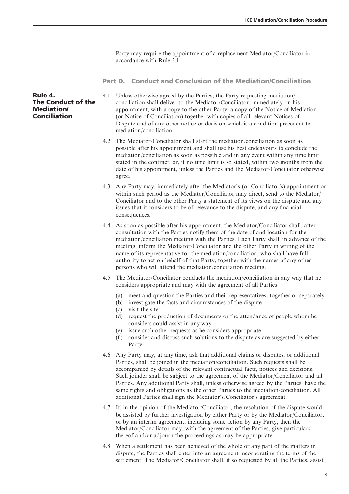Party may require the appointment of a replacement Mediator/Conciliator in accordance with Rule 3.1.

Part D. Conduct and Conclusion of the Mediation/Conciliation

Rule 4. The Conduct of the Mediation/ Conciliation

- 4.1 Unless otherwise agreed by the Parties, the Party requesting mediation/ conciliation shall deliver to the Mediator/Conciliator, immediately on his appointment, with a copy to the other Party, a copy of the Notice of Mediation (or Notice of Conciliation) together with copies of all relevant Notices of Dispute and of any other notice or decision which is a condition precedent to mediation/conciliation.
- 4.2 The Mediator/Conciliator shall start the mediation/conciliation as soon as possible after his appointment and shall use his best endeavours to conclude the mediation/conciliation as soon as possible and in any event within any time limit stated in the contract, or, if no time limit is so stated, within two months from the date of his appointment, unless the Parties and the Mediator/Conciliator otherwise agree.
- 4.3 Any Party may, immediately after the Mediator's (or Conciliator's) appointment or within such period as the Mediator/Conciliator may direct, send to the Mediator/ Conciliator and to the other Party a statement of its views on the dispute and any issues that it considers to be of relevance to the dispute, and any financial consequences.
- 4.4 As soon as possible after his appointment, the Mediator/Conciliator shall, after consultation with the Parties notify them of the date of and location for the mediation/conciliation meeting with the Parties. Each Party shall, in advance of the meeting, inform the Mediator/Conciliator and the other Party in writing of the name of its representative for the mediation/conciliation, who shall have full authority to act on behalf of that Party, together with the names of any other persons who will attend the mediation/conciliation meeting.
- 4.5 The Mediator/Conciliator conducts the mediation/conciliation in any way that he considers appropriate and may with the agreement of all Parties
	- (a) meet and question the Parties and their representatives, together or separately
	- (b) investigate the facts and circumstances of the dispute
	- (c) visit the site
	- (d) request the production of documents or the attendance of people whom he considers could assist in any way
	- (e) issue such other requests as he considers appropriate
	- (f ) consider and discuss such solutions to the dispute as are suggested by either Party.
- 4.6 Any Party may, at any time, ask that additional claims or disputes, or additional Parties, shall be joined in the mediation/conciliation. Such requests shall be accompanied by details of the relevant contractual facts, notices and decisions. Such joinder shall be subject to the agreement of the Mediator/Conciliator and all Parties. Any additional Party shall, unless otherwise agreed by the Parties, have the same rights and obligations as the other Parties to the mediation/conciliation. All additional Parties shall sign the Mediator's/Conciliator's agreement.
- 4.7 If, in the opinion of the Mediator/Conciliator, the resolution of the dispute would be assisted by further investigation by either Party or by the Mediator/Conciliator, or by an interim agreement, including some action by any Party, then the Mediator/Conciliator may, with the agreement of the Parties, give particulars thereof and/or adjourn the proceedings as may be appropriate.
- 4.8 When a settlement has been achieved of the whole or any part of the matters in dispute, the Parties shall enter into an agreement incorporating the terms of the settlement. The Mediator/Conciliator shall, if so requested by all the Parties, assist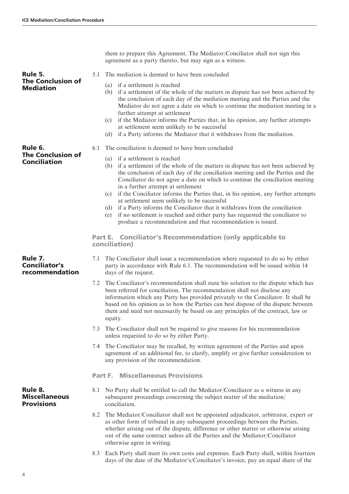them to prepare this Agreement. The Mediator/Conciliator shall not sign this agreement as a party thereto, but may sign as a witness.

- 5.1 The mediation is deemed to have been concluded
- The Conclusion of **Mediation**

The Conclusion of **Conciliation** 

Rule 5.

Rule 6.

- (a) if a settlement is reached
- (b) if a settlement of the whole of the matters in dispute has not been achieved by the conclusion of each day of the mediation meeting and the Parties and the Mediator do not agree a date on which to continue the mediation meeting in a further attempt at settlement
- (c) if the Mediator informs the Parties that, in his opinion, any further attempts at settlement seem unlikely to be successful
- (d) if a Party informs the Mediator that it withdraws from the mediation.
- 6.1 The conciliation is deemed to have been concluded
	- (a) if a settlement is reached
		- (b) if a settlement of the whole of the matters in dispute has not been achieved by the conclusion of each day of the conciliation meeting and the Parties and the Conciliator do not agree a date on which to continue the conciliation meeting in a further attempt at settlement
		- (c) if the Conciliator informs the Parties that, in his opinion, any further attempts at settlement seem unlikely to be successful
		- (d) if a Party informs the Conciliator that it withdraws from the conciliation
		- (e) if no settlement is reached and either party has requested the conciliator to produce a recommendation and that recommendation is issued.

Part E. Conciliator's Recommendation (only applicable to conciliation)

Rule 7. Conciliator's recommendation

- 7.1 The Conciliator shall issue a recommendation where requested to do so by either party in accordance with Rule 6.1. The recommendation will be issued within 14 days of the request.
- 7.2 The Conciliator's recommendation shall state his solution to the dispute which has been referred for conciliation. The recommendation shall not disclose any information which any Party has provided privately to the Conciliator. It shall be based on his opinion as to how the Parties can best dispose of the dispute between them and need not necessarily be based on any principles of the contract, law or equity.
- 7.3 The Conciliator shall not be required to give reasons for his recommendation unless requested to do so by either Party.
- 7.4 The Conciliator may be recalled, by written agreement of the Parties and upon agreement of an additional fee, to clarify, amplify or give further consideration to any provision of the recommendation.

Part F. Miscellaneous Provisions

- 8.1 No Party shall be entitled to call the Mediator/Conciliator as a witness in any subsequent proceedings concerning the subject matter of the mediation/ conciliation.
- 8.2 The Mediator/Conciliator shall not be appointed adjudicator, arbitrator, expert or as other form of tribunal in any subsequent proceedings between the Parties, whether arising out of the dispute, difference or other matter or otherwise arising out of the same contract unless all the Parties and the Mediator/Conciliator otherwise agree in writing.
- 8.3 Each Party shall meet its own costs and expenses. Each Party shall, within fourteen days of the date of the Mediator's/Conciliator's invoice, pay an equal share of the

Miscellaneous **Provisions** 

Rule 8.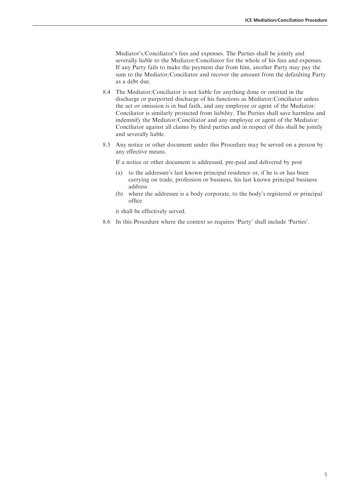Mediator's/Conciliator's fees and expenses. The Parties shall be jointly and severally liable to the Mediator/Conciliator for the whole of his fees and expenses. If any Party fails to make the payment due from him, another Party may pay the sum to the Mediator/Conciliator and recover the amount from the defaulting Party as a debt due.

- 8.4 The Mediator/Conciliator is not liable for anything done or omitted in the discharge or purported discharge of his functions as Mediator/Conciliator unless the act or omission is in bad faith, and any employee or agent of the Mediator/ Conciliator is similarly protected from liability. The Parties shall save harmless and indemnify the Mediator/Conciliator and any employee or agent of the Mediator/ Conciliator against all claims by third parties and in respect of this shall be jointly and severally liable.
- 8.5 Any notice or other document under this Procedure may be served on a person by any effective means.

If a notice or other document is addressed, pre-paid and delivered by post

- (a) to the addressee's last known principal residence or, if he is or has been carrying on trade, profession or business, his last known principal business address
- (b) where the addressee is a body corporate, to the body's registered or principal office

it shall be effectively served.

8.6 In this Procedure where the context so requires 'Party' shall include 'Parties'.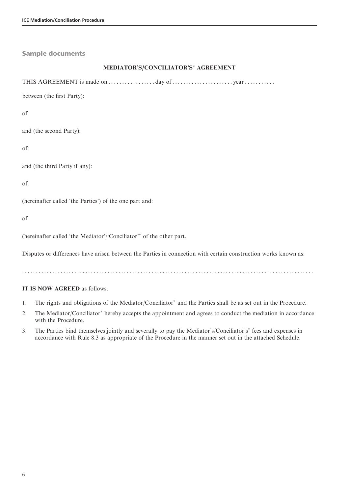| <b>Sample documents</b>                                                                                         |
|-----------------------------------------------------------------------------------------------------------------|
| MEDIATOR'S/CONCILIATOR'S* AGREEMENT                                                                             |
|                                                                                                                 |
| between (the first Party):                                                                                      |
| of:                                                                                                             |
| and (the second Party):                                                                                         |
| of:                                                                                                             |
| and (the third Party if any):                                                                                   |
| of:                                                                                                             |
| (hereinafter called 'the Parties') of the one part and:                                                         |
| of:                                                                                                             |
| (hereinafter called 'the Mediator'/'Conciliator'* of the other part.                                            |
| Disputes or differences have arisen between the Parties in connection with certain construction works known as: |
|                                                                                                                 |
| IT IS NOW AGREED as follows.                                                                                    |

- 1. The rights and obligations of the Mediator/Conciliator<sup>\*</sup> and the Parties shall be as set out in the Procedure.
- 2. The Mediator/Conciliator<sup>\*</sup> hereby accepts the appointment and agrees to conduct the mediation in accordance with the Procedure.
- 3. The Parties bind themselves jointly and severally to pay the Mediator's/Conciliator's fees and expenses in accordance with Rule 8.3 as appropriate of the Procedure in the manner set out in the attached Schedule.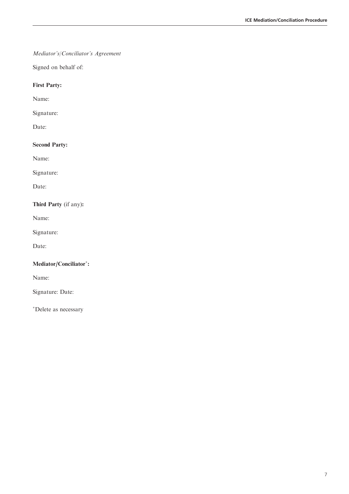## Mediator's/Conciliator's Agreement

Signed on behalf of:

### First Party:

Name:

Signature:

Date:

## Second Party:

Name:

Signature:

Date:

## Third Party (if any):

Name:

Signature:

Date:

#### Mediator/Conciliator\*:

Name:

Signature: Date:

Delete as necessary